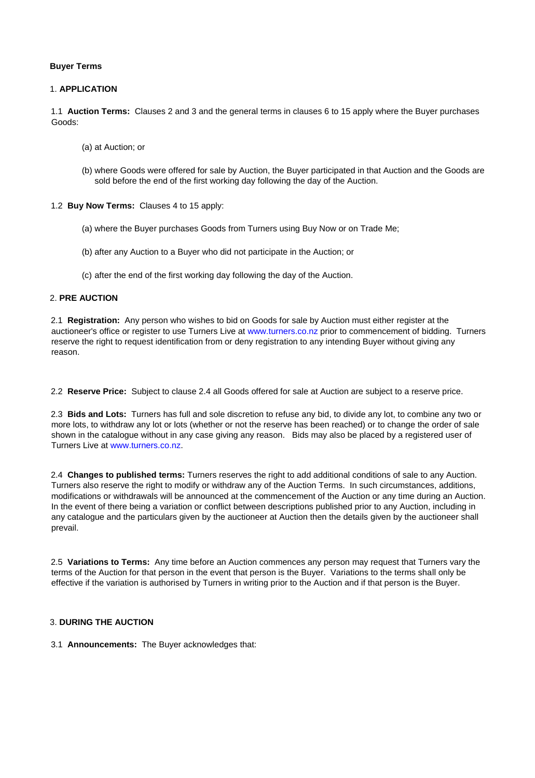#### **Buyer Terms**

## 1. **APPLICATION**

1.1 **Auction Terms:** Clauses 2 and 3 and the general terms in clauses 6 to 15 apply where the Buyer purchases Goods:

- (a) at Auction; or
- (b) where Goods were offered for sale by Auction, the Buyer participated in that Auction and the Goods are sold before the end of the first working day following the day of the Auction.

1.2 **Buy Now Terms:** Clauses 4 to 15 apply:

- (a) where the Buyer purchases Goods from Turners using Buy Now or on Trade Me;
- (b) after any Auction to a Buyer who did not participate in the Auction; or
- (c) after the end of the first working day following the day of the Auction.

## 2. **PRE AUCTION**

2.1 **Registration:** Any person who wishes to bid on Goods for sale by Auction must either register at the auctioneer's office or register to use Turners Live at [www.turners.co.nz](http://www.turners.co.nz/) [pr](http://www.turners.co.nz/)ior to commencement of bidding. Turners reserve the right to request identification from or deny registration to any intending Buyer without giving any reason.

2.2 **Reserve Price:** Subject to clause 2.4 all Goods offered for sale at Auction are subject to a reserve price.

2.3 **Bids and Lots:** Turners has full and sole discretion to refuse any bid, to divide any lot, to combine any two or more lots, to withdraw any lot or lots (whether or not the reserve has been reached) or to change the order of sale shown in the catalogue without in any case giving any reason. Bids may also be placed by a registered user of Turners Live at [www.turners.co.nz.](http://www.turners.co.nz/) 

2.4 **Changes to published terms:** Turners reserves the right to add additional conditions of sale to any Auction. Turners also reserve the right to modify or withdraw any of the Auction Terms. In such circumstances, additions, modifications or withdrawals will be announced at the commencement of the Auction or any time during an Auction. In the event of there being a variation or conflict between descriptions published prior to any Auction, including in any catalogue and the particulars given by the auctioneer at Auction then the details given by the auctioneer shall prevail.

2.5 **Variations to Terms:** Any time before an Auction commences any person may request that Turners vary the terms of the Auction for that person in the event that person is the Buyer. Variations to the terms shall only be effective if the variation is authorised by Turners in writing prior to the Auction and if that person is the Buyer.

# 3. **DURING THE AUCTION**

3.1 **Announcements:** The Buyer acknowledges that: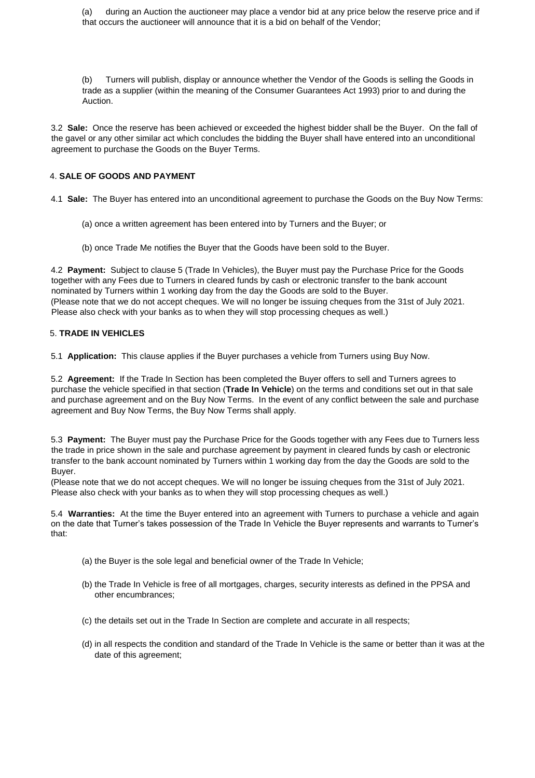(a) during an Auction the auctioneer may place a vendor bid at any price below the reserve price and if that occurs the auctioneer will announce that it is a bid on behalf of the Vendor;

(b) Turners will publish, display or announce whether the Vendor of the Goods is selling the Goods in trade as a supplier (within the meaning of the Consumer Guarantees Act 1993) prior to and during the Auction.

3.2 **Sale:** Once the reserve has been achieved or exceeded the highest bidder shall be the Buyer. On the fall of the gavel or any other similar act which concludes the bidding the Buyer shall have entered into an unconditional agreement to purchase the Goods on the Buyer Terms.

# 4. **SALE OF GOODS AND PAYMENT**

4.1 **Sale:** The Buyer has entered into an unconditional agreement to purchase the Goods on the Buy Now Terms:

- (a) once a written agreement has been entered into by Turners and the Buyer; or
- (b) once Trade Me notifies the Buyer that the Goods have been sold to the Buyer.

4.2 **Payment:** Subject to clause 5 (Trade In Vehicles), the Buyer must pay the Purchase Price for the Goods together with any Fees due to Turners in cleared funds by cash or electronic transfer to the bank account nominated by Turners within 1 working day from the day the Goods are sold to the Buyer. (Please note that we do not accept cheques. We will no longer be issuing cheques from the 31st of July 2021. Please also check with your banks as to when they will stop processing cheques as well.)

## 5. **TRADE IN VEHICLES**

5.1 **Application:** This clause applies if the Buyer purchases a vehicle from Turners using Buy Now.

5.2 **Agreement:** If the Trade In Section has been completed the Buyer offers to sell and Turners agrees to purchase the vehicle specified in that section (**Trade In Vehicle**) on the terms and conditions set out in that sale and purchase agreement and on the Buy Now Terms. In the event of any conflict between the sale and purchase agreement and Buy Now Terms, the Buy Now Terms shall apply.

5.3 **Payment:** The Buyer must pay the Purchase Price for the Goods together with any Fees due to Turners less the trade in price shown in the sale and purchase agreement by payment in cleared funds by cash or electronic transfer to the bank account nominated by Turners within 1 working day from the day the Goods are sold to the Buyer.

(Please note that we do not accept cheques. We will no longer be issuing cheques from the 31st of July 2021. Please also check with your banks as to when they will stop processing cheques as well.)

5.4 **Warranties:** At the time the Buyer entered into an agreement with Turners to purchase a vehicle and again on the date that Turner's takes possession of the Trade In Vehicle the Buyer represents and warrants to Turner's that:

- (a) the Buyer is the sole legal and beneficial owner of the Trade In Vehicle;
- (b) the Trade In Vehicle is free of all mortgages, charges, security interests as defined in the PPSA and other encumbrances;
- (c) the details set out in the Trade In Section are complete and accurate in all respects;
- (d) in all respects the condition and standard of the Trade In Vehicle is the same or better than it was at the date of this agreement;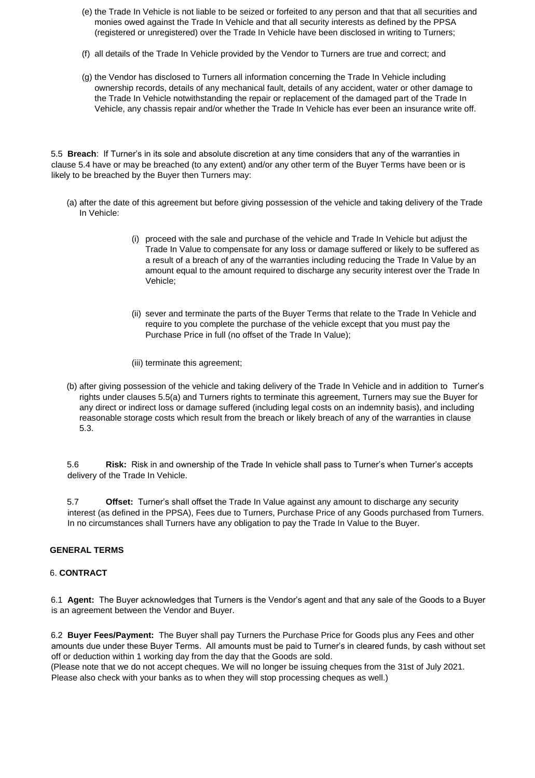- (e) the Trade In Vehicle is not liable to be seized or forfeited to any person and that that all securities and monies owed against the Trade In Vehicle and that all security interests as defined by the PPSA (registered or unregistered) over the Trade In Vehicle have been disclosed in writing to Turners;
- (f) all details of the Trade In Vehicle provided by the Vendor to Turners are true and correct; and
- (g) the Vendor has disclosed to Turners all information concerning the Trade In Vehicle including ownership records, details of any mechanical fault, details of any accident, water or other damage to the Trade In Vehicle notwithstanding the repair or replacement of the damaged part of the Trade In Vehicle, any chassis repair and/or whether the Trade In Vehicle has ever been an insurance write off.

5.5 **Breach**: If Turner's in its sole and absolute discretion at any time considers that any of the warranties in clause 5.4 have or may be breached (to any extent) and/or any other term of the Buyer Terms have been or is likely to be breached by the Buyer then Turners may:

- (a) after the date of this agreement but before giving possession of the vehicle and taking delivery of the Trade In Vehicle:
	- (i) proceed with the sale and purchase of the vehicle and Trade In Vehicle but adjust the Trade In Value to compensate for any loss or damage suffered or likely to be suffered as a result of a breach of any of the warranties including reducing the Trade In Value by an amount equal to the amount required to discharge any security interest over the Trade In Vehicle;
	- (ii) sever and terminate the parts of the Buyer Terms that relate to the Trade In Vehicle and require to you complete the purchase of the vehicle except that you must pay the Purchase Price in full (no offset of the Trade In Value);

(iii) terminate this agreement;

(b) after giving possession of the vehicle and taking delivery of the Trade In Vehicle and in addition to Turner's rights under clauses 5.5(a) and Turners rights to terminate this agreement, Turners may sue the Buyer for any direct or indirect loss or damage suffered (including legal costs on an indemnity basis), and including reasonable storage costs which result from the breach or likely breach of any of the warranties in clause 5.3.

5.6 **Risk:** Risk in and ownership of the Trade In vehicle shall pass to Turner's when Turner's accepts delivery of the Trade In Vehicle.

5.7 **Offset:** Turner's shall offset the Trade In Value against any amount to discharge any security interest (as defined in the PPSA), Fees due to Turners, Purchase Price of any Goods purchased from Turners. In no circumstances shall Turners have any obligation to pay the Trade In Value to the Buyer.

# **GENERAL TERMS**

# 6. **CONTRACT**

6.1 **Agent:** The Buyer acknowledges that Turners is the Vendor's agent and that any sale of the Goods to a Buyer is an agreement between the Vendor and Buyer.

6.2 **Buyer Fees/Payment:** The Buyer shall pay Turners the Purchase Price for Goods plus any Fees and other amounts due under these Buyer Terms. All amounts must be paid to Turner's in cleared funds, by cash without set off or deduction within 1 working day from the day that the Goods are sold.

(Please note that we do not accept cheques. We will no longer be issuing cheques from the 31st of July 2021. Please also check with your banks as to when they will stop processing cheques as well.)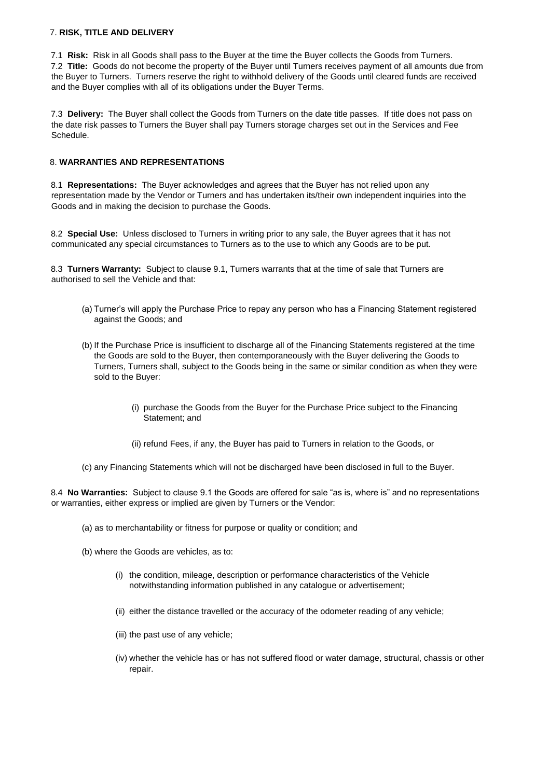## 7. **RISK, TITLE AND DELIVERY**

7.1 **Risk:** Risk in all Goods shall pass to the Buyer at the time the Buyer collects the Goods from Turners. 7.2 **Title:** Goods do not become the property of the Buyer until Turners receives payment of all amounts due from the Buyer to Turners. Turners reserve the right to withhold delivery of the Goods until cleared funds are received and the Buyer complies with all of its obligations under the Buyer Terms.

7.3 **Delivery:** The Buyer shall collect the Goods from Turners on the date title passes. If title does not pass on the date risk passes to Turners the Buyer shall pay Turners storage charges set out in the Services and Fee Schedule.

# 8. **WARRANTIES AND REPRESENTATIONS**

8.1 **Representations:** The Buyer acknowledges and agrees that the Buyer has not relied upon any representation made by the Vendor or Turners and has undertaken its/their own independent inquiries into the Goods and in making the decision to purchase the Goods.

8.2 **Special Use:** Unless disclosed to Turners in writing prior to any sale, the Buyer agrees that it has not communicated any special circumstances to Turners as to the use to which any Goods are to be put.

8.3 **Turners Warranty:** Subject to clause 9.1, Turners warrants that at the time of sale that Turners are authorised to sell the Vehicle and that:

- (a) Turner's will apply the Purchase Price to repay any person who has a Financing Statement registered against the Goods; and
- (b) If the Purchase Price is insufficient to discharge all of the Financing Statements registered at the time the Goods are sold to the Buyer, then contemporaneously with the Buyer delivering the Goods to Turners, Turners shall, subject to the Goods being in the same or similar condition as when they were sold to the Buyer:
	- (i) purchase the Goods from the Buyer for the Purchase Price subject to the Financing Statement; and
	- (ii) refund Fees, if any, the Buyer has paid to Turners in relation to the Goods, or
- (c) any Financing Statements which will not be discharged have been disclosed in full to the Buyer.

8.4 **No Warranties:** Subject to clause 9.1 the Goods are offered for sale "as is, where is" and no representations or warranties, either express or implied are given by Turners or the Vendor:

- (a) as to merchantability or fitness for purpose or quality or condition; and
- (b) where the Goods are vehicles, as to:
	- (i) the condition, mileage, description or performance characteristics of the Vehicle notwithstanding information published in any catalogue or advertisement;
	- (ii) either the distance travelled or the accuracy of the odometer reading of any vehicle;
	- (iii) the past use of any vehicle;
	- (iv) whether the vehicle has or has not suffered flood or water damage, structural, chassis or other repair.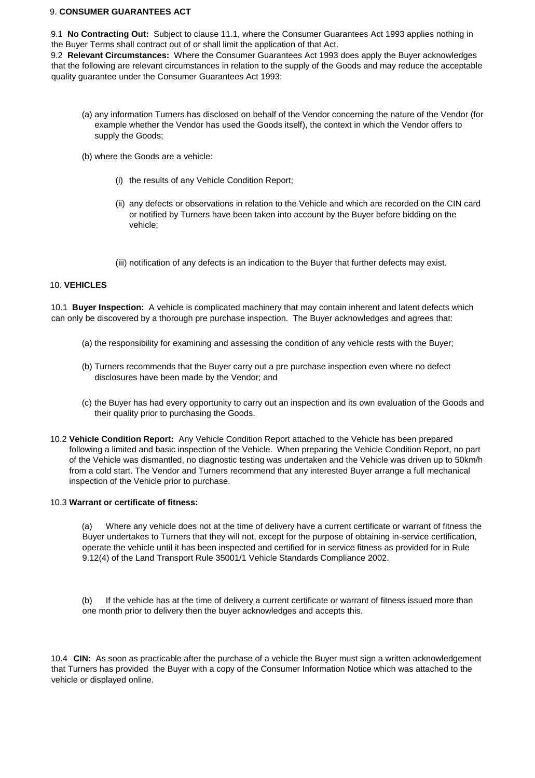## 9. **CONSUMER GUARANTEES ACT**

9.1 **No Contracting Out:** Subject to clause 11.1, where the Consumer Guarantees Act 1993 applies nothing in the Buyer Terms shall contract out of or shall limit the application of that Act.

9.2 **Relevant Circumstances:** Where the Consumer Guarantees Act 1993 does apply the Buyer acknowledges that the following are relevant circumstances in relation to the supply of the Goods and may reduce the acceptable quality guarantee under the Consumer Guarantees Act 1993:

- (a) any information Turners has disclosed on behalf of the Vendor concerning the nature of the Vendor (for example whether the Vendor has used the Goods itself), the context in which the Vendor offers to supply the Goods;
- (b) where the Goods are a vehicle:
	- (i) the results of any Vehicle Condition Report;
	- (ii) any defects or observations in relation to the Vehicle and which are recorded on the CIN card or notified by Turners have been taken into account by the Buyer before bidding on the vehicle;
	- (iii) notification of any defects is an indication to the Buyer that further defects may exist.

# 10. **VEHICLES**

10.1 **Buyer Inspection:** A vehicle is complicated machinery that may contain inherent and latent defects which can only be discovered by a thorough pre purchase inspection. The Buyer acknowledges and agrees that:

- (a) the responsibility for examining and assessing the condition of any vehicle rests with the Buyer;
- (b) Turners recommends that the Buyer carry out a pre purchase inspection even where no defect disclosures have been made by the Vendor; and
- (c) the Buyer has had every opportunity to carry out an inspection and its own evaluation of the Goods and their quality prior to purchasing the Goods.
- 10.2 **Vehicle Condition Report:** Any Vehicle Condition Report attached to the Vehicle has been prepared following a limited and basic inspection of the Vehicle. When preparing the Vehicle Condition Report, no part of the Vehicle was dismantled, no diagnostic testing was undertaken and the Vehicle was driven up to 50km/h from a cold start. The Vendor and Turners recommend that any interested Buyer arrange a full mechanical inspection of the Vehicle prior to purchase.

# 10.3 **Warrant or certificate of fitness:**

(a) Where any vehicle does not at the time of delivery have a current certificate or warrant of fitness the Buyer undertakes to Turners that they will not, except for the purpose of obtaining in-service certification, operate the vehicle until it has been inspected and certified for in service fitness as provided for in Rule 9.12(4) of the Land Transport Rule 35001/1 Vehicle Standards Compliance 2002.

(b) If the vehicle has at the time of delivery a current certificate or warrant of fitness issued more than one month prior to delivery then the buyer acknowledges and accepts this.

10.4 **CIN:** As soon as practicable after the purchase of a vehicle the Buyer must sign a written acknowledgement that Turners has provided the Buyer with a copy of the Consumer Information Notice which was attached to the vehicle or displayed online.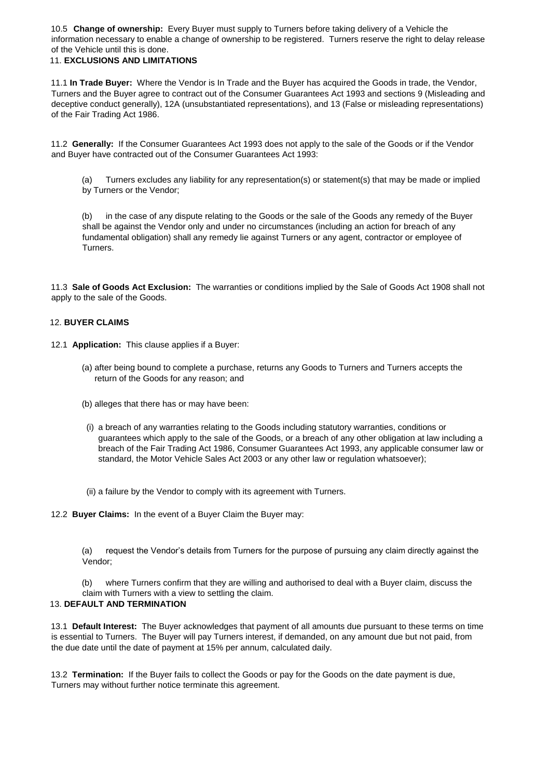10.5 **Change of ownership:** Every Buyer must supply to Turners before taking delivery of a Vehicle the information necessary to enable a change of ownership to be registered. Turners reserve the right to delay release of the Vehicle until this is done.

# 11. **EXCLUSIONS AND LIMITATIONS**

11.1 **In Trade Buyer:** Where the Vendor is In Trade and the Buyer has acquired the Goods in trade, the Vendor, Turners and the Buyer agree to contract out of the Consumer Guarantees Act 1993 and sections 9 (Misleading and deceptive conduct generally), 12A (unsubstantiated representations), and 13 (False or misleading representations) of the Fair Trading Act 1986.

11.2 **Generally:** If the Consumer Guarantees Act 1993 does not apply to the sale of the Goods or if the Vendor and Buyer have contracted out of the Consumer Guarantees Act 1993:

(a) Turners excludes any liability for any representation(s) or statement(s) that may be made or implied by Turners or the Vendor;

(b) in the case of any dispute relating to the Goods or the sale of the Goods any remedy of the Buyer shall be against the Vendor only and under no circumstances (including an action for breach of any fundamental obligation) shall any remedy lie against Turners or any agent, contractor or employee of Turners.

11.3 **Sale of Goods Act Exclusion:** The warranties or conditions implied by the Sale of Goods Act 1908 shall not apply to the sale of the Goods.

#### 12. **BUYER CLAIMS**

12.1 **Application:** This clause applies if a Buyer:

- (a) after being bound to complete a purchase, returns any Goods to Turners and Turners accepts the return of the Goods for any reason; and
- (b) alleges that there has or may have been:
- (i) a breach of any warranties relating to the Goods including statutory warranties, conditions or guarantees which apply to the sale of the Goods, or a breach of any other obligation at law including a breach of the Fair Trading Act 1986, Consumer Guarantees Act 1993, any applicable consumer law or standard, the Motor Vehicle Sales Act 2003 or any other law or regulation whatsoever);
- (ii) a failure by the Vendor to comply with its agreement with Turners.

12.2 **Buyer Claims:** In the event of a Buyer Claim the Buyer may:

(a) request the Vendor's details from Turners for the purpose of pursuing any claim directly against the Vendor;

(b) where Turners confirm that they are willing and authorised to deal with a Buyer claim, discuss the claim with Turners with a view to settling the claim.

### 13. **DEFAULT AND TERMINATION**

13.1 **Default Interest:** The Buyer acknowledges that payment of all amounts due pursuant to these terms on time is essential to Turners. The Buyer will pay Turners interest, if demanded, on any amount due but not paid, from the due date until the date of payment at 15% per annum, calculated daily.

13.2 **Termination:** If the Buyer fails to collect the Goods or pay for the Goods on the date payment is due, Turners may without further notice terminate this agreement.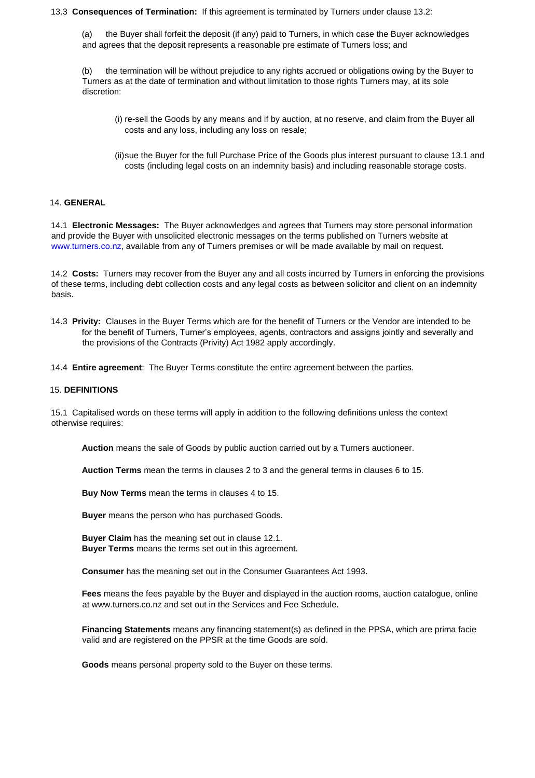### 13.3 **Consequences of Termination:** If this agreement is terminated by Turners under clause 13.2:

(a) the Buyer shall forfeit the deposit (if any) paid to Turners, in which case the Buyer acknowledges and agrees that the deposit represents a reasonable pre estimate of Turners loss; and

(b) the termination will be without prejudice to any rights accrued or obligations owing by the Buyer to Turners as at the date of termination and without limitation to those rights Turners may, at its sole discretion:

- (i) re-sell the Goods by any means and if by auction, at no reserve, and claim from the Buyer all costs and any loss, including any loss on resale;
- (ii)sue the Buyer for the full Purchase Price of the Goods plus interest pursuant to clause 13.1 and costs (including legal costs on an indemnity basis) and including reasonable storage costs.

## 14. **GENERAL**

14.1 **Electronic Messages:** The Buyer acknowledges and agrees that Turners may store personal information and provide the Buyer with unsolicited electronic messages on the terms published on Turners website at [www.turners.co.nz,](http://www.turners.co.nz/) [a](http://www.turners.co.nz/)vailable from any of Turners premises or will be made available by mail on request.

14.2 **Costs:** Turners may recover from the Buyer any and all costs incurred by Turners in enforcing the provisions of these terms, including debt collection costs and any legal costs as between solicitor and client on an indemnity basis.

14.3 **Privity:** Clauses in the Buyer Terms which are for the benefit of Turners or the Vendor are intended to be for the benefit of Turners, Turner's employees, agents, contractors and assigns jointly and severally and the provisions of the Contracts (Privity) Act 1982 apply accordingly.

14.4 **Entire agreement**: The Buyer Terms constitute the entire agreement between the parties.

#### 15. **DEFINITIONS**

15.1 Capitalised words on these terms will apply in addition to the following definitions unless the context otherwise requires:

**Auction** means the sale of Goods by public auction carried out by a Turners auctioneer.

**Auction Terms** mean the terms in clauses 2 to 3 and the general terms in clauses 6 to 15.

**Buy Now Terms** mean the terms in clauses 4 to 15.

**Buyer** means the person who has purchased Goods.

**Buyer Claim** has the meaning set out in clause 12.1. **Buyer Terms** means the terms set out in this agreement.

**Consumer** has the meaning set out in the Consumer Guarantees Act 1993.

**Fees** means the fees payable by the Buyer and displayed in the auction rooms, auction catalogue, online at www.turners.co.nz and set out in the Services and Fee Schedule.

**Financing Statements** means any financing statement(s) as defined in the PPSA, which are prima facie valid and are registered on the PPSR at the time Goods are sold.

**Goods** means personal property sold to the Buyer on these terms.